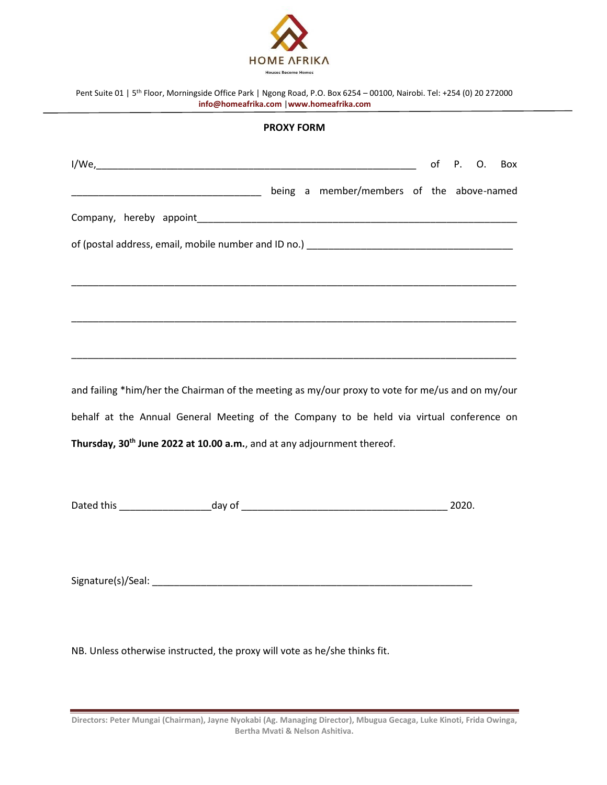

|                                         | Pent Suite 01   5 <sup>th</sup> Floor, Morningside Office Park   Ngong Road, P.O. Box 6254 - 00100, Nairobi. Tel: +254 (0) 20 272000 |  |  |  |  |  |  |
|-----------------------------------------|--------------------------------------------------------------------------------------------------------------------------------------|--|--|--|--|--|--|
| info@homeafrika.com  www.homeafrika.com |                                                                                                                                      |  |  |  |  |  |  |

## **PROXY FORM**

|                                                                                                  |  |                                           |  |  | of P. O. Box |  |
|--------------------------------------------------------------------------------------------------|--|-------------------------------------------|--|--|--------------|--|
|                                                                                                  |  | being a member/members of the above-named |  |  |              |  |
|                                                                                                  |  |                                           |  |  |              |  |
|                                                                                                  |  |                                           |  |  |              |  |
|                                                                                                  |  |                                           |  |  |              |  |
|                                                                                                  |  |                                           |  |  |              |  |
|                                                                                                  |  |                                           |  |  |              |  |
|                                                                                                  |  |                                           |  |  |              |  |
| and failing *him/her the Chairman of the meeting as my/our proxy to vote for me/us and on my/our |  |                                           |  |  |              |  |
| behalf at the Annual General Meeting of the Company to be held via virtual conference on         |  |                                           |  |  |              |  |
| Thursday, 30 <sup>th</sup> June 2022 at 10.00 a.m., and at any adjournment thereof.              |  |                                           |  |  |              |  |
|                                                                                                  |  |                                           |  |  |              |  |
|                                                                                                  |  |                                           |  |  |              |  |

Dated this \_\_\_\_\_\_\_\_\_\_\_\_\_\_\_\_\_day of \_\_\_\_\_\_\_\_\_\_\_\_\_\_\_\_\_\_\_\_\_\_\_\_\_\_\_\_\_\_\_\_\_\_\_\_\_\_ 2020.

Signature(s)/Seal: \_\_\_\_\_\_\_\_\_\_\_\_\_\_\_\_\_\_\_\_\_\_\_\_\_\_\_\_\_\_\_\_\_\_\_\_\_\_\_\_\_\_\_\_\_\_\_\_\_\_\_\_\_\_\_\_\_\_\_

NB. Unless otherwise instructed, the proxy will vote as he/she thinks fit.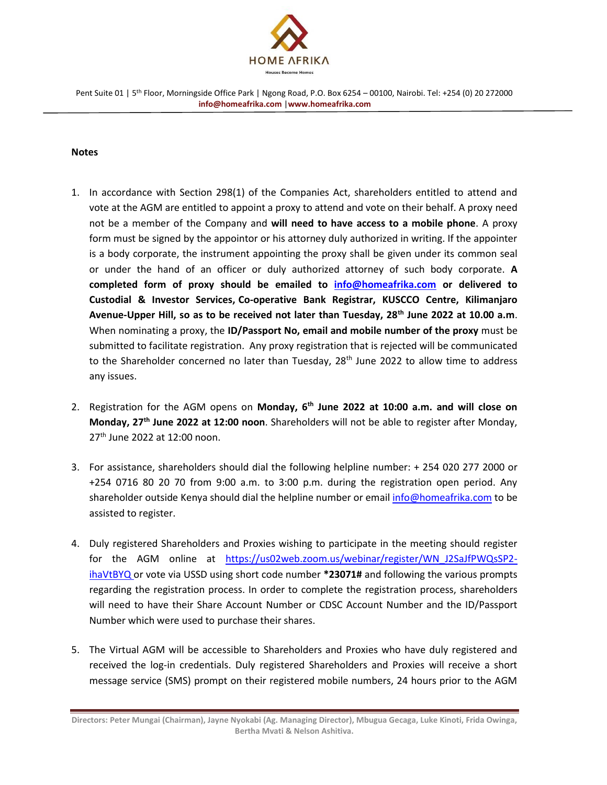

## **Notes**

- 1. In accordance with Section 298(1) of the Companies Act, shareholders entitled to attend and vote at the AGM are entitled to appoint a proxy to attend and vote on their behalf. A proxy need not be a member of the Company and **will need to have access to a mobile phone**. A proxy form must be signed by the appointor or his attorney duly authorized in writing. If the appointer is a body corporate, the instrument appointing the proxy shall be given under its common seal or under the hand of an officer or duly authorized attorney of such body corporate. **A completed form of proxy should be emailed to [info@homeafrika.com](mailto:info@homeafrika.com) or delivered to Custodial & Investor Services, Co-operative Bank Registrar, KUSCCO Centre, Kilimanjaro Avenue-Upper Hill, so as to be received not later than Tuesday, 28th June 2022 at 10.00 a.m**. When nominating a proxy, the **ID/Passport No, email and mobile number of the proxy** must be submitted to facilitate registration. Any proxy registration that is rejected will be communicated to the Shareholder concerned no later than Tuesday, 28<sup>th</sup> June 2022 to allow time to address any issues.
- 2. Registration for the AGM opens on **Monday, 6 th June 2022 at 10:00 a.m. and will close on Monday, 27th June 2022 at 12:00 noon**. Shareholders will not be able to register after Monday, 27<sup>th</sup> June 2022 at 12:00 noon.
- 3. For assistance, shareholders should dial the following helpline number: + 254 020 277 2000 or +254 0716 80 20 70 from 9:00 a.m. to 3:00 p.m. during the registration open period. Any shareholder outside Kenya should dial the helpline number or email [info@homeafrika.com](mailto:info@homeafrika.com) to be assisted to register.
- 4. Duly registered Shareholders and Proxies wishing to participate in the meeting should register for the AGM online at https://us02web.zoom.us/webinar/register/WN\_J2SaJfPWQsSP2 ihaVtBYQ or vote via USSD using short code number **\*23071#** and following the various prompts regarding the registration process. In order to complete the registration process, shareholders will need to have their Share Account Number or CDSC Account Number and the ID/Passport Number which were used to purchase their shares.
- 5. The Virtual AGM will be accessible to Shareholders and Proxies who have duly registered and received the log-in credentials. Duly registered Shareholders and Proxies will receive a short message service (SMS) prompt on their registered mobile numbers, 24 hours prior to the AGM

**Directors: Peter Mungai (Chairman), Jayne Nyokabi (Ag. Managing Director), Mbugua Gecaga, Luke Kinoti, Frida Owinga, Bertha Mvati & Nelson Ashitiva.**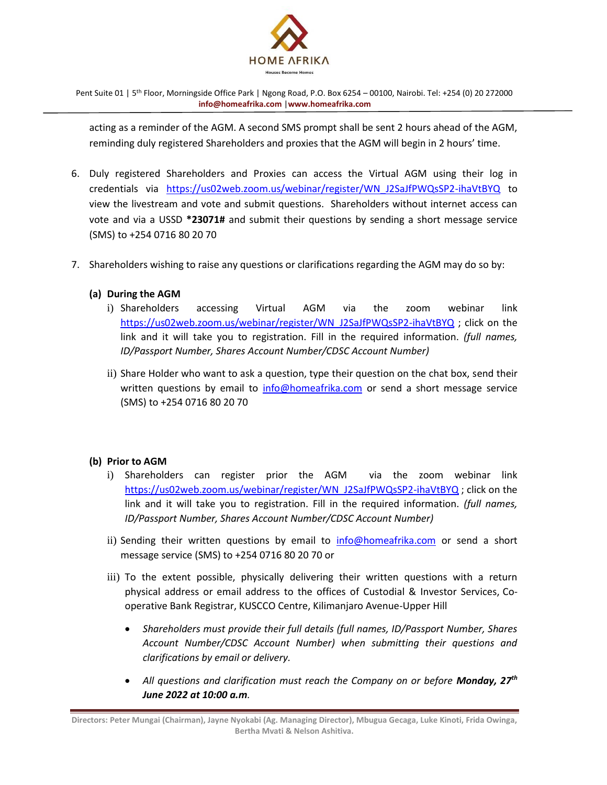

Pent Suite 01 | 5th Floor, Morningside Office Park | Ngong Road, P.O. Box 6254 – 00100, Nairobi. Tel: +254 (0) 20 272000 **[info@homeafrika.com](mailto:info@homeafrika.com)** |**[www.homeafrika.com](http://www.homeafrika.com/)**

acting as a reminder of the AGM. A second SMS prompt shall be sent 2 hours ahead of the AGM, reminding duly registered Shareholders and proxies that the AGM will begin in 2 hours' time.

- 6. Duly registered Shareholders and Proxies can access the Virtual AGM using their log in credentials via https://us02web.zoom.us/webinar/register/WN\_J2SaJfPWQsSP2-ihaVtBYQ to view the livestream and vote and submit questions. Shareholders without internet access can vote and via a USSD **\*23071#** and submit their questions by sending a short message service (SMS) to +254 0716 80 20 70
- 7. Shareholders wishing to raise any questions or clarifications regarding the AGM may do so by:

## **(a) During the AGM**

- i) Shareholders accessing Virtual AGM via the zoom webinar link [https://us02web.zoom.us/webinar/register/WN\\_J2SaJfPWQsSP2-ihaVtBYQ](https://us02web.zoom.us/webinar/register/WN_J2SaJfPWQsSP2-ihaVtBYQ) ; click on the link and it will take you to registration. Fill in the required information. *(full names, ID/Passport Number, Shares Account Number/CDSC Account Number)*
- ii) Share Holder who want to ask a question, type their question on the chat box, send their written questions by email to [info@homeafrika.com](mailto:info@homeafrika.com) or send a short message service (SMS) to +254 0716 80 20 70

## **(b) Prior to AGM**

- i) Shareholders can register prior the AGM via the zoom webinar link [https://us02web.zoom.us/webinar/register/WN\\_J2SaJfPWQsSP2-ihaVtBYQ](https://us02web.zoom.us/webinar/register/WN_J2SaJfPWQsSP2-ihaVtBYQ) ; click on the link and it will take you to registration. Fill in the required information. *(full names, ID/Passport Number, Shares Account Number/CDSC Account Number)*
- ii) Sending their written questions by email to [info@homeafrika.com](mailto:info@homeafrika.com) or send a short message service (SMS) to +254 0716 80 20 70 or
- iii) To the extent possible, physically delivering their written questions with a return physical address or email address to the offices of Custodial & Investor Services, Cooperative Bank Registrar, KUSCCO Centre, Kilimanjaro Avenue-Upper Hill
	- *Shareholders must provide their full details (full names, ID/Passport Number, Shares Account Number/CDSC Account Number) when submitting their questions and clarifications by email or delivery.*
	- *All questions and clarification must reach the Company on or before Monday, 27th June 2022 at 10:00 a.m.*

**Directors: Peter Mungai (Chairman), Jayne Nyokabi (Ag. Managing Director), Mbugua Gecaga, Luke Kinoti, Frida Owinga, Bertha Mvati & Nelson Ashitiva.**